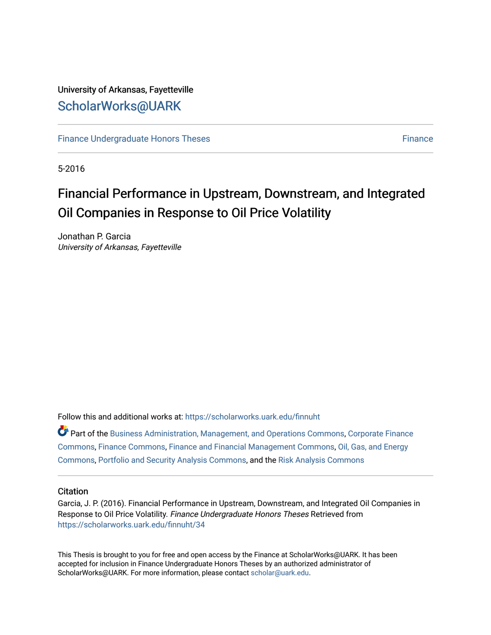### University of Arkansas, Fayetteville [ScholarWorks@UARK](https://scholarworks.uark.edu/)

[Finance Undergraduate Honors Theses](https://scholarworks.uark.edu/finnuht) [Finance](https://scholarworks.uark.edu/finn) **Finance Finance** 

5-2016

## Financial Performance in Upstream, Downstream, and Integrated Oil Companies in Response to Oil Price Volatility

Jonathan P. Garcia University of Arkansas, Fayetteville

Follow this and additional works at: [https://scholarworks.uark.edu/finnuht](https://scholarworks.uark.edu/finnuht?utm_source=scholarworks.uark.edu%2Ffinnuht%2F34&utm_medium=PDF&utm_campaign=PDFCoverPages)

| Part of the Business Administration, Management, and Operations Commons, Corporate Finance |
|--------------------------------------------------------------------------------------------|
| Commons, Finance Commons, Finance and Financial Management Commons, Oil, Gas, and Energy   |
| Commons, Portfolio and Security Analysis Commons, and the Risk Analysis Commons            |

#### **Citation**

Garcia, J. P. (2016). Financial Performance in Upstream, Downstream, and Integrated Oil Companies in Response to Oil Price Volatility. Finance Undergraduate Honors Theses Retrieved from [https://scholarworks.uark.edu/finnuht/34](https://scholarworks.uark.edu/finnuht/34?utm_source=scholarworks.uark.edu%2Ffinnuht%2F34&utm_medium=PDF&utm_campaign=PDFCoverPages) 

This Thesis is brought to you for free and open access by the Finance at ScholarWorks@UARK. It has been accepted for inclusion in Finance Undergraduate Honors Theses by an authorized administrator of ScholarWorks@UARK. For more information, please contact [scholar@uark.edu](mailto:scholar@uark.edu).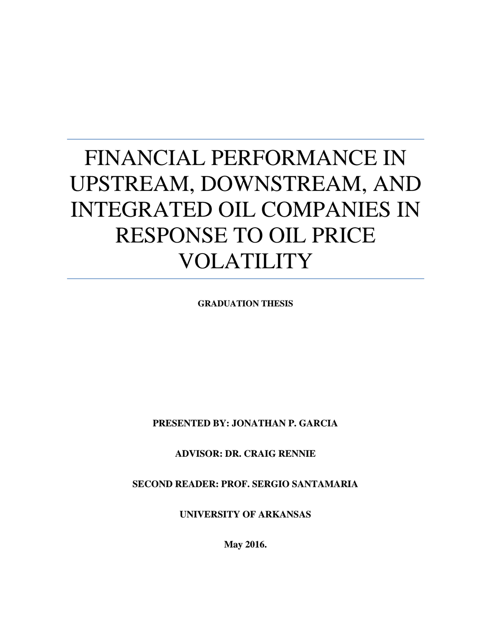# FINANCIAL PERFORMANCE IN UPSTREAM, DOWNSTREAM, AND INTEGRATED OIL COMPANIES IN RESPONSE TO OIL PRICE VOLATILITY

**GRADUATION THESIS**

**PRESENTED BY: JONATHAN P. GARCIA**

**ADVISOR: DR. CRAIG RENNIE**

**SECOND READER: PROF. SERGIO SANTAMARIA**

**UNIVERSITY OF ARKANSAS**

**May 2016.**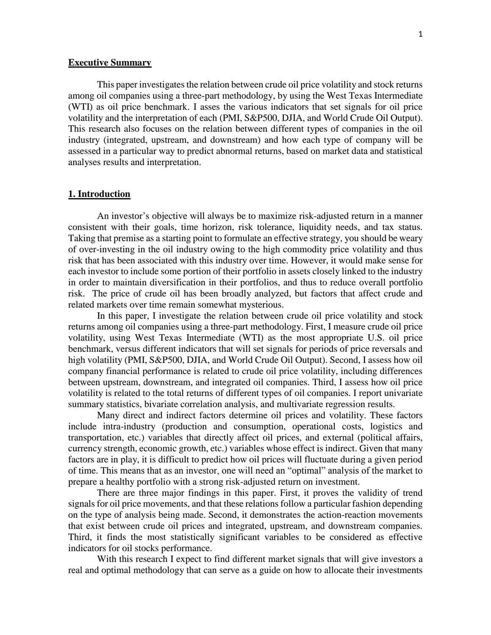#### **Executive Summary**

This paper investigates the relation between crude oil price volatility and stock returns among oil companies using a three-part methodology, by using the West Texas Intermediate (WTI) as oil price benchmark. I asses the various indicators that set signals for oil price volatility and the interpretation of each (PMI, S&P500, DJIA, and World Crude Oil Output). This research also focuses on the relation between different types of companies in the oil industry (integrated, upstream, and downstream) and how each type of company will be assessed in a particular way to predict abnormal returns, based on market data and statistical analyses results and interpretation.

#### **1. Introduction**

An investor's objective will always be to maximize risk-adjusted return in a manner consistent with their goals, time horizon, risk tolerance, liquidity needs, and tax status. Taking that premise as a starting point to formulate an effective strategy, you should be weary of over-investing in the oil industry owing to the high commodity price volatility and thus risk that has been associated with this industry over time. However, it would make sense for each investor to include some portion of their portfolio in assets closely linked to the industry in order to maintain diversification in their portfolios, and thus to reduce overall portfolio risk. The price of crude oil has been broadly analyzed, but factors that affect crude and related markets over time remain somewhat mysterious.

In this paper, I investigate the relation between crude oil price volatility and stock returns among oil companies using a three-part methodology. First, I measure crude oil price volatility, using West Texas Intermediate (WTI) as the most appropriate U.S. oil price benchmark, versus different indicators that will set signals for periods of price reversals and high volatility (PMI, S&P500, DJIA, and World Crude Oil Output). Second, I assess how oil company financial performance is related to crude oil price volatility, including differences between upstream, downstream, and integrated oil companies. Third, I assess how oil price volatility is related to the total returns of different types of oil companies. I report univariate summary statistics, bivariate correlation analysis, and multivariate regression results.

Many direct and indirect factors determine oil prices and volatility. These factors include intra-industry (production and consumption, operational costs, logistics and transportation, etc.) variables that directly affect oil prices, and external (political affairs, currency strength, economic growth, etc.) variables whose effect is indirect. Given that many factors are in play, it is difficult to predict how oil prices will fluctuate during a given period of time. This means that as an investor, one will need an "optimal" analysis of the market to prepare a healthy portfolio with a strong risk-adjusted return on investment.

There are three major findings in this paper. First, it proves the validity of trend signals for oil price movements, and that these relations follow a particular fashion depending on the type of analysis being made. Second, it demonstrates the action-reaction movements that exist between crude oil prices and integrated, upstream, and downstream companies. Third, it finds the most statistically significant variables to be considered as effective indicators for oil stocks performance.

With this research I expect to find different market signals that will give investors a real and optimal methodology that can serve as a guide on how to allocate their investments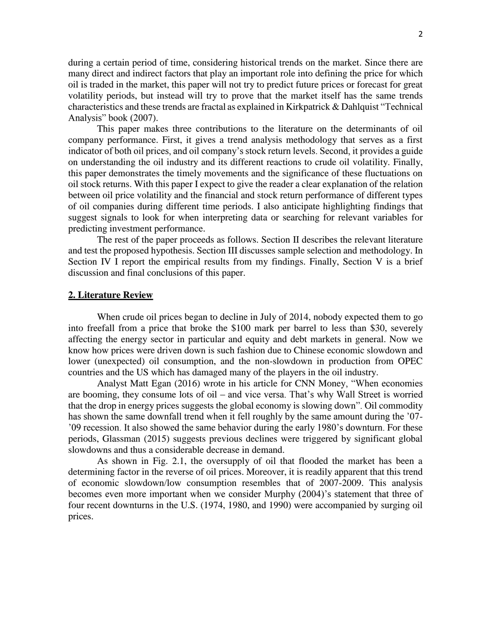during a certain period of time, considering historical trends on the market. Since there are many direct and indirect factors that play an important role into defining the price for which oil is traded in the market, this paper will not try to predict future prices or forecast for great volatility periods, but instead will try to prove that the market itself has the same trends characteristics and these trends are fractal as explained in Kirkpatrick & Dahlquist "Technical Analysis" book (2007).

This paper makes three contributions to the literature on the determinants of oil company performance. First, it gives a trend analysis methodology that serves as a first indicator of both oil prices, and oil company's stock return levels. Second, it provides a guide on understanding the oil industry and its different reactions to crude oil volatility. Finally, this paper demonstrates the timely movements and the significance of these fluctuations on oil stock returns. With this paper I expect to give the reader a clear explanation of the relation between oil price volatility and the financial and stock return performance of different types of oil companies during different time periods. I also anticipate highlighting findings that suggest signals to look for when interpreting data or searching for relevant variables for predicting investment performance.

The rest of the paper proceeds as follows. Section II describes the relevant literature and test the proposed hypothesis. Section III discusses sample selection and methodology. In Section IV I report the empirical results from my findings. Finally, Section V is a brief discussion and final conclusions of this paper.

#### **2. Literature Review**

When crude oil prices began to decline in July of 2014, nobody expected them to go into freefall from a price that broke the \$100 mark per barrel to less than \$30, severely affecting the energy sector in particular and equity and debt markets in general. Now we know how prices were driven down is such fashion due to Chinese economic slowdown and lower (unexpected) oil consumption, and the non-slowdown in production from OPEC countries and the US which has damaged many of the players in the oil industry.

Analyst Matt Egan (2016) wrote in his article for CNN Money, "When economies are booming, they consume lots of oil – and vice versa. That's why Wall Street is worried that the drop in energy prices suggests the global economy is slowing down". Oil commodity has shown the same downfall trend when it fell roughly by the same amount during the '07-'09 recession. It also showed the same behavior during the early 1980's downturn. For these periods, Glassman (2015) suggests previous declines were triggered by significant global slowdowns and thus a considerable decrease in demand.

As shown in Fig. 2.1, the oversupply of oil that flooded the market has been a determining factor in the reverse of oil prices. Moreover, it is readily apparent that this trend of economic slowdown/low consumption resembles that of 2007-2009. This analysis becomes even more important when we consider Murphy (2004)'s statement that three of four recent downturns in the U.S. (1974, 1980, and 1990) were accompanied by surging oil prices.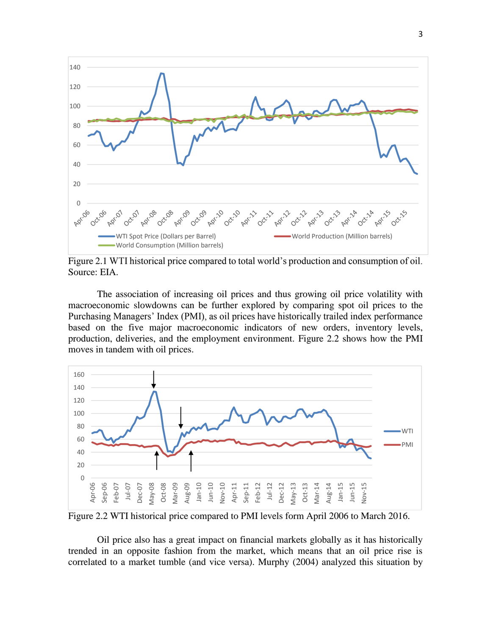

Figure 2.1 WTI historical price compared to total world's production and consumption of oil. Source: EIA.

The association of increasing oil prices and thus growing oil price volatility with macroeconomic slowdowns can be further explored by comparing spot oil prices to the Purchasing Managers' Index (PMI), as oil prices have historically trailed index performance based on the five major macroeconomic indicators of new orders, inventory levels, production, deliveries, and the employment environment. Figure 2.2 shows how the PMI moves in tandem with oil prices.



Figure 2.2 WTI historical price compared to PMI levels form April 2006 to March 2016.

Oil price also has a great impact on financial markets globally as it has historically trended in an opposite fashion from the market, which means that an oil price rise is correlated to a market tumble (and vice versa). Murphy (2004) analyzed this situation by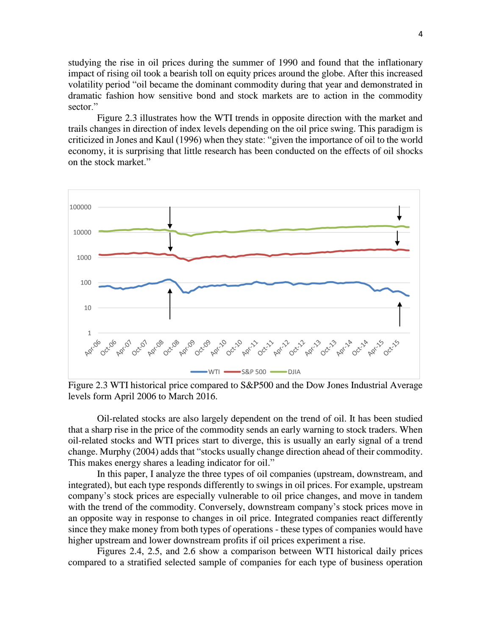studying the rise in oil prices during the summer of 1990 and found that the inflationary impact of rising oil took a bearish toll on equity prices around the globe. After this increased volatility period "oil became the dominant commodity during that year and demonstrated in dramatic fashion how sensitive bond and stock markets are to action in the commodity sector<sup>"</sup>

Figure 2.3 illustrates how the WTI trends in opposite direction with the market and trails changes in direction of index levels depending on the oil price swing. This paradigm is criticized in Jones and Kaul (1996) when they state: "given the importance of oil to the world economy, it is surprising that little research has been conducted on the effects of oil shocks on the stock market."



Figure 2.3 WTI historical price compared to S&P500 and the Dow Jones Industrial Average levels form April 2006 to March 2016.

Oil-related stocks are also largely dependent on the trend of oil. It has been studied that a sharp rise in the price of the commodity sends an early warning to stock traders. When oil-related stocks and WTI prices start to diverge, this is usually an early signal of a trend change. Murphy (2004) adds that "stocks usually change direction ahead of their commodity. This makes energy shares a leading indicator for oil."

In this paper, I analyze the three types of oil companies (upstream, downstream, and integrated), but each type responds differently to swings in oil prices. For example, upstream company's stock prices are especially vulnerable to oil price changes, and move in tandem with the trend of the commodity. Conversely, downstream company's stock prices move in an opposite way in response to changes in oil price. Integrated companies react differently since they make money from both types of operations - these types of companies would have higher upstream and lower downstream profits if oil prices experiment a rise.

Figures 2.4, 2.5, and 2.6 show a comparison between WTI historical daily prices compared to a stratified selected sample of companies for each type of business operation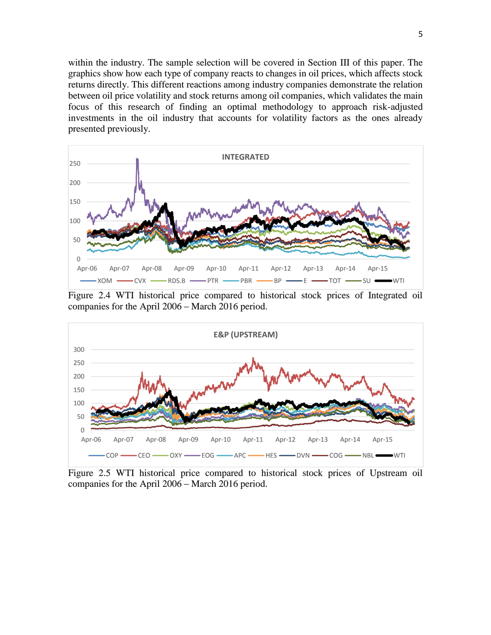within the industry. The sample selection will be covered in Section III of this paper. The graphics show how each type of company reacts to changes in oil prices, which affects stock returns directly. This different reactions among industry companies demonstrate the relation between oil price volatility and stock returns among oil companies, which validates the main focus of this research of finding an optimal methodology to approach risk-adjusted investments in the oil industry that accounts for volatility factors as the ones already presented previously.



Figure 2.4 WTI historical price compared to historical stock prices of Integrated oil companies for the April 2006 – March 2016 period.



Figure 2.5 WTI historical price compared to historical stock prices of Upstream oil companies for the April 2006 – March 2016 period.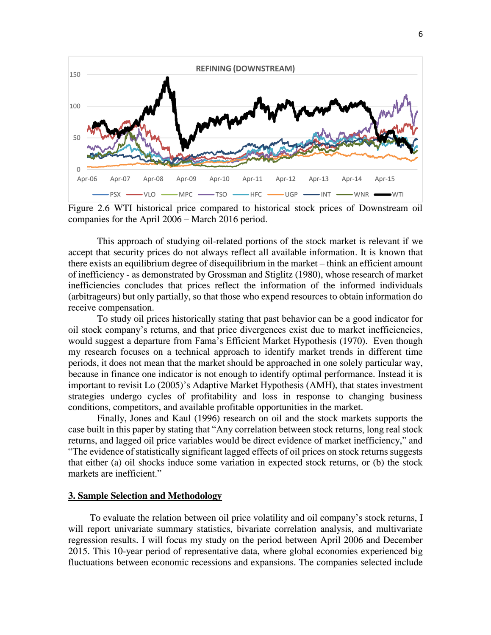

Figure 2.6 WTI historical price compared to historical stock prices of Downstream oil companies for the April 2006 – March 2016 period.

This approach of studying oil-related portions of the stock market is relevant if we accept that security prices do not always reflect all available information. It is known that there exists an equilibrium degree of disequilibrium in the market – think an efficient amount of inefficiency - as demonstrated by Grossman and Stiglitz (1980), whose research of market inefficiencies concludes that prices reflect the information of the informed individuals (arbitrageurs) but only partially, so that those who expend resources to obtain information do receive compensation.

To study oil prices historically stating that past behavior can be a good indicator for oil stock company's returns, and that price divergences exist due to market inefficiencies, would suggest a departure from Fama's Efficient Market Hypothesis (1970). Even though my research focuses on a technical approach to identify market trends in different time periods, it does not mean that the market should be approached in one solely particular way, because in finance one indicator is not enough to identify optimal performance. Instead it is important to revisit Lo (2005)'s Adaptive Market Hypothesis (AMH), that states investment strategies undergo cycles of profitability and loss in response to changing business conditions, competitors, and available profitable opportunities in the market.

Finally, Jones and Kaul (1996) research on oil and the stock markets supports the case built in this paper by stating that "Any correlation between stock returns, long real stock returns, and lagged oil price variables would be direct evidence of market inefficiency," and "The evidence of statistically significant lagged effects of oil prices on stock returns suggests that either (a) oil shocks induce some variation in expected stock returns, or (b) the stock markets are inefficient."

#### **3. Sample Selection and Methodology**

To evaluate the relation between oil price volatility and oil company's stock returns, I will report univariate summary statistics, bivariate correlation analysis, and multivariate regression results. I will focus my study on the period between April 2006 and December 2015. This 10-year period of representative data, where global economies experienced big fluctuations between economic recessions and expansions. The companies selected include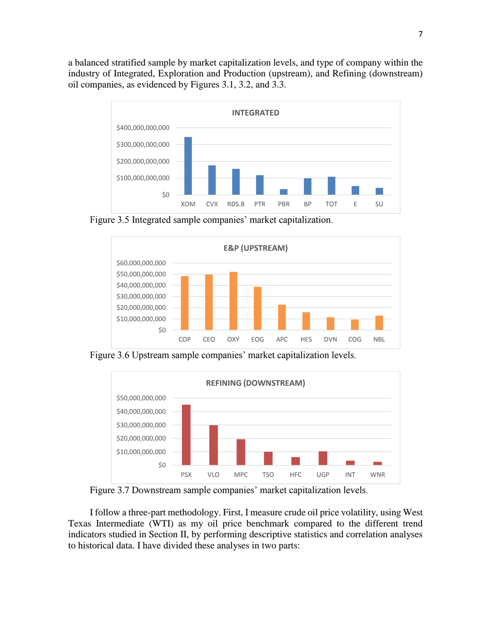a balanced stratified sample by market capitalization levels, and type of company within the industry of Integrated, Exploration and Production (upstream), and Refining (downstream) oil companies, as evidenced by Figures 3.1, 3.2, and 3.3.



Figure 3.5 Integrated sample companies' market capitalization.



Figure 3.6 Upstream sample companies' market capitalization levels.



Figure 3.7 Downstream sample companies' market capitalization levels.

I follow a three-part methodology. First, I measure crude oil price volatility, using West Texas Intermediate (WTI) as my oil price benchmark compared to the different trend indicators studied in Section II, by performing descriptive statistics and correlation analyses to historical data. I have divided these analyses in two parts: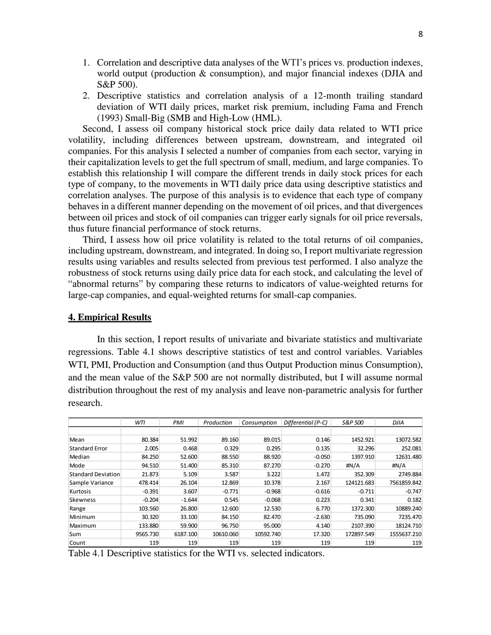- 1. Correlation and descriptive data analyses of the WTI's prices vs. production indexes, world output (production & consumption), and major financial indexes (DJIA and S&P 500).
- 2. Descriptive statistics and correlation analysis of a 12-month trailing standard deviation of WTI daily prices, market risk premium, including Fama and French (1993) Small-Big (SMB and High-Low (HML).

Second, I assess oil company historical stock price daily data related to WTI price volatility, including differences between upstream, downstream, and integrated oil companies. For this analysis I selected a number of companies from each sector, varying in their capitalization levels to get the full spectrum of small, medium, and large companies. To establish this relationship I will compare the different trends in daily stock prices for each type of company, to the movements in WTI daily price data using descriptive statistics and correlation analyses. The purpose of this analysis is to evidence that each type of company behaves in a different manner depending on the movement of oil prices, and that divergences between oil prices and stock of oil companies can trigger early signals for oil price reversals, thus future financial performance of stock returns.

Third, I assess how oil price volatility is related to the total returns of oil companies, including upstream, downstream, and integrated. In doing so, I report multivariate regression results using variables and results selected from previous test performed. I also analyze the robustness of stock returns using daily price data for each stock, and calculating the level of "abnormal returns" by comparing these returns to indicators of value-weighted returns for large-cap companies, and equal-weighted returns for small-cap companies.

#### **4. Empirical Results**

In this section, I report results of univariate and bivariate statistics and multivariate regressions. Table 4.1 shows descriptive statistics of test and control variables. Variables WTI, PMI, Production and Consumption (and thus Output Production minus Consumption), and the mean value of the S&P 500 are not normally distributed, but I will assume normal distribution throughout the rest of my analysis and leave non-parametric analysis for further research.

|                           | WTI      | PMI      | Production | Consumption | Differential (P-C) | S&P 500    | <b>DJIA</b> |
|---------------------------|----------|----------|------------|-------------|--------------------|------------|-------------|
|                           |          |          |            |             |                    |            |             |
| Mean                      | 80.384   | 51.992   | 89.160     | 89.015      | 0.146              | 1452.921   | 13072.582   |
| <b>Standard Error</b>     | 2.005    | 0.468    | 0.329      | 0.295       | 0.135              | 32.296     | 252.081     |
| Median                    | 84.250   | 52.600   | 88.550     | 88.920      | $-0.050$           | 1397.910   | 12631.480   |
| Mode                      | 94.510   | 51.400   | 85.310     | 87.270      | $-0.270$           | # $N/A$    | #N/A        |
| <b>Standard Deviation</b> | 21.873   | 5.109    | 3.587      | 3.222       | 1.472              | 352.309    | 2749.884    |
| Sample Variance           | 478.414  | 26.104   | 12.869     | 10.378      | 2.167              | 124121.683 | 7561859.842 |
| Kurtosis                  | $-0.391$ | 3.607    | $-0.771$   | $-0.968$    | $-0.616$           | $-0.711$   | $-0.747$    |
| <b>Skewness</b>           | $-0.204$ | $-1.644$ | 0.545      | $-0.068$    | 0.223              | 0.341      | 0.182       |
| Range                     | 103.560  | 26,800   | 12.600     | 12.530      | 6.770              | 1372.300   | 10889.240   |
| Minimum                   | 30.320   | 33.100   | 84.150     | 82.470      | $-2.630$           | 735.090    | 7235.470    |
| Maximum                   | 133.880  | 59.900   | 96.750     | 95.000      | 4.140              | 2107.390   | 18124.710   |
| Sum                       | 9565.730 | 6187.100 | 10610.060  | 10592.740   | 17.320             | 172897.549 | 1555637.210 |
| Count                     | 119      | 119      | 119        | 119         | 119                | 119        | 119         |

Table 4.1 Descriptive statistics for the WTI vs. selected indicators.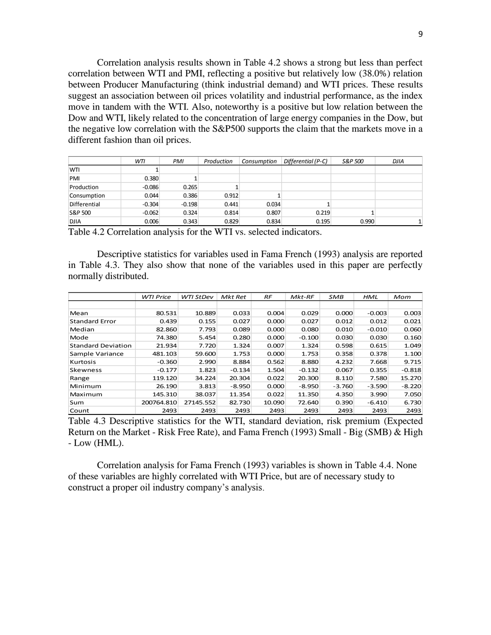Correlation analysis results shown in Table 4.2 shows a strong but less than perfect correlation between WTI and PMI, reflecting a positive but relatively low (38.0%) relation between Producer Manufacturing (think industrial demand) and WTI prices. These results suggest an association between oil prices volatility and industrial performance, as the index move in tandem with the WTI. Also, noteworthy is a positive but low relation between the Dow and WTI, likely related to the concentration of large energy companies in the Dow, but the negative low correlation with the S&P500 supports the claim that the markets move in a different fashion than oil prices.

|              | WTI      | PMI      | Production | Consumption | Differential (P-C) | S&P 500 | <b>DJIA</b> |
|--------------|----------|----------|------------|-------------|--------------------|---------|-------------|
| <b>WTI</b>   |          |          |            |             |                    |         |             |
| PMI          | 0.380    |          |            |             |                    |         |             |
| Production   | $-0.086$ | 0.265    |            |             |                    |         |             |
| Consumption  | 0.044    | 0.386    | 0.912      |             |                    |         |             |
| Differential | $-0.304$ | $-0.198$ | 0.441      | 0.034       |                    |         |             |
| S&P 500      | $-0.062$ | 0.324    | 0.814      | 0.807       | 0.219              |         |             |
| <b>DJIA</b>  | 0.006    | 0.343    | 0.829      | 0.834       | 0.195              | 0.990   |             |

Table 4.2 Correlation analysis for the WTI vs. selected indicators.

Descriptive statistics for variables used in Fama French (1993) analysis are reported in Table 4.3. They also show that none of the variables used in this paper are perfectly normally distributed.

|                           | <b>WTI Price</b> | <b>WTI StDev</b> | Mkt Ret  | RF     | $Mkt-RF$ | <b>SMB</b> | <b>HML</b> | Mom      |
|---------------------------|------------------|------------------|----------|--------|----------|------------|------------|----------|
|                           |                  |                  |          |        |          |            |            |          |
| Mean                      | 80.531           | 10.889           | 0.033    | 0.004  | 0.029    | 0.000      | $-0.003$   | 0.003    |
| <b>Standard Error</b>     | 0.439            | 0.155            | 0.027    | 0.000  | 0.027    | 0.012      | 0.012      | 0.021    |
| Median                    | 82.860           | 7.793            | 0.089    | 0.000  | 0.080    | 0.010      | $-0.010$   | 0.060    |
| Mode                      | 74.380           | 5.454            | 0.280    | 0.000  | $-0.100$ | 0.030      | 0.030      | 0.160    |
| <b>Standard Deviation</b> | 21.934           | 7.720            | 1.324    | 0.007  | 1.324    | 0.598      | 0.615      | 1.049    |
| Sample Variance           | 481.103          | 59.600           | 1.753    | 0.000  | 1.753    | 0.358      | 0.378      | 1.100    |
| Kurtosis                  | $-0.360$         | 2.990            | 8.884    | 0.562  | 8.880    | 4.232      | 7.668      | 9.715    |
| Skewness                  | $-0.177$         | 1.823            | $-0.134$ | 1.504  | $-0.132$ | 0.067      | 0.355      | $-0.818$ |
| Range                     | 119.120          | 34.224           | 20.304   | 0.022  | 20.300   | 8.110      | 7.580      | 15.270   |
| Minimum                   | 26.190           | 3.813            | $-8.950$ | 0.000  | $-8.950$ | $-3.760$   | $-3.590$   | $-8.220$ |
| Maximum                   | 145.310          | 38.037           | 11.354   | 0.022  | 11.350   | 4.350      | 3.990      | 7.050    |
| Sum                       | 200764.810       | 27145.552        | 82.730   | 10.090 | 72.640   | 0.390      | $-6.410$   | 6.730    |
| Count                     | 2493             | 2493             | 2493     | 2493   | 2493     | 2493       | 2493       | 2493     |

Table 4.3 Descriptive statistics for the WTI, standard deviation, risk premium (Expected Return on the Market - Risk Free Rate), and Fama French (1993) Small - Big (SMB) & High - Low (HML).

Correlation analysis for Fama French (1993) variables is shown in Table 4.4. None of these variables are highly correlated with WTI Price, but are of necessary study to construct a proper oil industry company's analysis.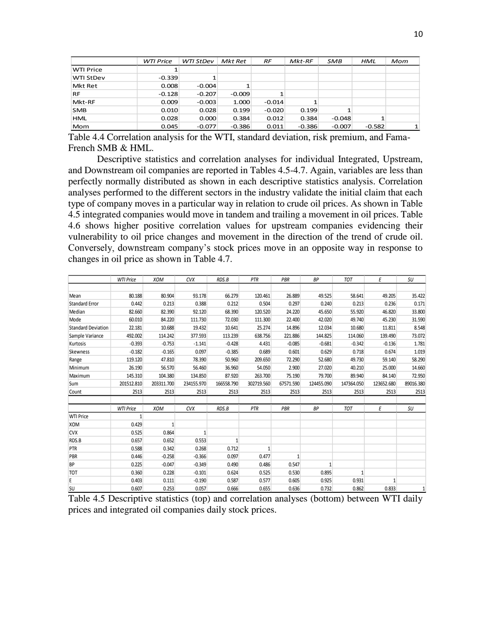|                  | <b>WTI Price</b> | <b>WTI StDev</b> | Mkt Ret  | RF       | $Mkt-RF$ | SMB      | <b>HML</b> | Mom |
|------------------|------------------|------------------|----------|----------|----------|----------|------------|-----|
| <b>WTI Price</b> |                  |                  |          |          |          |          |            |     |
| <b>WTI StDev</b> | $-0.339$         |                  |          |          |          |          |            |     |
| Mkt Ret          | 0.008            | $-0.004$         |          |          |          |          |            |     |
| <b>RF</b>        | $-0.128$         | $-0.207$         | $-0.009$ |          |          |          |            |     |
| Mkt-RF           | 0.009            | $-0.003$         | 1.000    | $-0.014$ | 1        |          |            |     |
| <b>SMB</b>       | 0.010            | 0.028            | 0.199    | $-0.020$ | 0.199    |          |            |     |
| <b>HML</b>       | 0.028            | 0.000            | 0.384    | 0.012    | 0.384    | $-0.048$ |            |     |
| Mom              | 0.045            | $-0.077$         | $-0.386$ | 0.011    | $-0.386$ | $-0.007$ | $-0.582$   |     |

Table 4.4 Correlation analysis for the WTI, standard deviation, risk premium, and Fama-French SMB & HML.

Descriptive statistics and correlation analyses for individual Integrated, Upstream, and Downstream oil companies are reported in Tables 4.5-4.7. Again, variables are less than perfectly normally distributed as shown in each descriptive statistics analysis. Correlation analyses performed to the different sectors in the industry validate the initial claim that each type of company moves in a particular way in relation to crude oil prices. As shown in Table 4.5 integrated companies would move in tandem and trailing a movement in oil prices. Table 4.6 shows higher positive correlation values for upstream companies evidencing their vulnerability to oil price changes and movement in the direction of the trend of crude oil. Conversely, downstream company's stock prices move in an opposite way in response to changes in oil price as shown in Table 4.7.

|                           | <b>WTI Price</b> | <b>XOM</b> | <b>CVX</b>   | RDS.B        | PTR             | PBR       | <b>BP</b>    | <b>TOT</b>   | E            | SU        |
|---------------------------|------------------|------------|--------------|--------------|-----------------|-----------|--------------|--------------|--------------|-----------|
|                           |                  |            |              |              |                 |           |              |              |              |           |
| Mean                      | 80.188           | 80.904     | 93.178       | 66.279       | 120.461         | 26.889    | 49.525       | 58.641       | 49.205       | 35.422    |
| <b>Standard Error</b>     | 0.442            | 0.213      | 0.388        | 0.212        | 0.504           | 0.297     | 0.240        | 0.213        | 0.236        | 0.171     |
| Median                    | 82.660           | 82.390     | 92.120       | 68.390       | 120.520         | 24.220    | 45.650       | 55.920       | 46.820       | 33.800    |
| Mode                      | 60.010           | 84.220     | 111.730      | 72.030       | 111.300         | 22.400    | 42.020       | 49.740       | 45.230       | 31.590    |
| <b>Standard Deviation</b> | 22.181           | 10.688     | 19.432       | 10.641       | 25.274          | 14.896    | 12.034       | 10.680       | 11.811       | 8.548     |
| Sample Variance           | 492.002          | 114.242    | 377.593      | 113.239      | 638.756         | 221.886   | 144.825      | 114.060      | 139.490      | 73.072    |
| Kurtosis                  | $-0.393$         | $-0.753$   | $-1.141$     | $-0.428$     | 4.431           | $-0.085$  | $-0.681$     | $-0.342$     | $-0.136$     | 1.781     |
| Skewness                  | $-0.182$         | $-0.165$   | 0.097        | $-0.385$     | 0.689           | 0.601     | 0.629        | 0.718        | 0.674        | 1.019     |
| Range                     | 119.120          | 47.810     | 78.390       | 50.960       | 209.650         | 72.290    | 52.680       | 49.730       | 59.140       | 58.290    |
| Minimum                   | 26.190           | 56.570     | 56.460       | 36.960       | 54.050          | 2.900     | 27.020       | 40.210       | 25.000       | 14.660    |
| Maximum                   | 145.310          | 104.380    | 134.850      | 87.920       | 263.700         | 75.190    | 79.700       | 89.940       | 84.140       | 72.950    |
| Sum                       | 201512.810       | 203311.700 | 234155.970   | 166558.790   | 302719.560      | 67571.590 | 124455.090   | 147364.050   | 123652.680   | 89016.380 |
| Count                     | 2513             | 2513       | 2513         | 2513         | 2513            | 2513      | 2513         | 2513         | 2513         | 2513      |
|                           |                  |            |              |              |                 |           |              |              |              |           |
|                           | <b>WTI Price</b> | <b>XOM</b> | <b>CVX</b>   | RDS.B        | PTR             | PBR       | <b>BP</b>    | <b>TOT</b>   | E            | SU        |
| <b>WTI Price</b>          | 1                |            |              |              |                 |           |              |              |              |           |
| <b>XOM</b>                | 0.429            |            |              |              |                 |           |              |              |              |           |
| <b>CVX</b>                | 0.525            | 0.864      | $\mathbf{1}$ |              |                 |           |              |              |              |           |
| RDS.B                     | 0.657            | 0.652      | 0.553        | $\mathbf{1}$ |                 |           |              |              |              |           |
| PTR                       | 0.588            | 0.342      | 0.268        | 0.712        | $1\overline{ }$ |           |              |              |              |           |
| PBR                       | 0.446            | $-0.258$   | $-0.366$     | 0.097        | 0.477           | 1         |              |              |              |           |
| <b>BP</b>                 | 0.225            | $-0.047$   | $-0.349$     | 0.490        | 0.486           | 0.547     | $\mathbf{1}$ |              |              |           |
| <b>TOT</b>                | 0.360            | 0.228      | $-0.101$     | 0.624        | 0.525           | 0.530     | 0.895        | $\mathbf{1}$ |              |           |
| E                         | 0.403            | 0.111      | $-0.190$     | 0.587        | 0.577           | 0.605     | 0.925        | 0.931        | $\mathbf{1}$ |           |
| SU                        | 0.607            | 0.253      | 0.057        | 0.666        | 0.655           | 0.636     | 0.732        | 0.862        | 0.833        | 1         |

Table 4.5 Descriptive statistics (top) and correlation analyses (bottom) between WTI daily prices and integrated oil companies daily stock prices.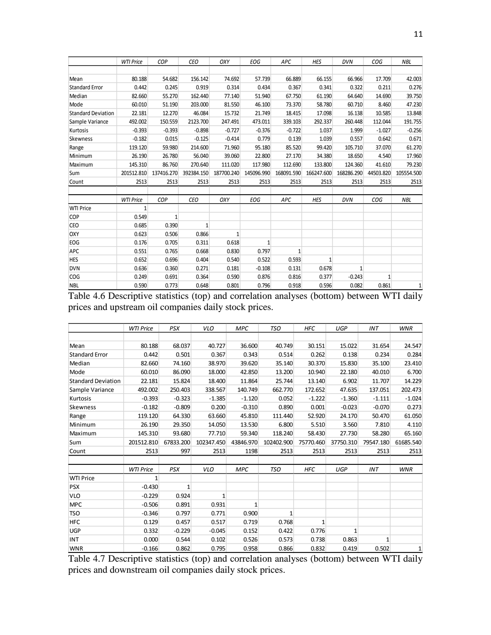|                           | <b>WTI Price</b> | COP          | <b>CEO</b>   | OXY          | <b>EOG</b>   | APC          | <b>HES</b>   | <b>DVN</b>   | COG          | <b>NBL</b>   |
|---------------------------|------------------|--------------|--------------|--------------|--------------|--------------|--------------|--------------|--------------|--------------|
|                           |                  |              |              |              |              |              |              |              |              |              |
| Mean                      | 80.188           | 54.682       | 156.142      | 74.692       | 57.739       | 66.889       | 66.155       | 66.966       | 17.709       | 42.003       |
| <b>Standard Error</b>     | 0.442            | 0.245        | 0.919        | 0.314        | 0.434        | 0.367        | 0.341        | 0.322        | 0.211        | 0.276        |
| Median                    | 82.660           | 55.270       | 162.440      | 77.140       | 51.940       | 67.750       | 61.190       | 64.640       | 14.690       | 39.750       |
| Mode                      | 60.010           | 51.190       | 203.000      | 81.550       | 46.100       | 73.370       | 58.780       | 60.710       | 8.460        | 47.230       |
| <b>Standard Deviation</b> | 22.181           | 12.270       | 46.084       | 15.732       | 21.749       | 18.415       | 17.098       | 16.138       | 10.585       | 13.848       |
| Sample Variance           | 492.002          | 150.559      | 2123.700     | 247.491      | 473.011      | 339.103      | 292.337      | 260.448      | 112.044      | 191.755      |
| Kurtosis                  | $-0.393$         | $-0.393$     | $-0.898$     | $-0.727$     | $-0.376$     | $-0.722$     | 1.037        | 1.999        | $-1.027$     | $-0.256$     |
| <b>Skewness</b>           | $-0.182$         | 0.015        | $-0.125$     | $-0.414$     | 0.779        | 0.139        | 1.039        | 0.557        | 0.642        | 0.671        |
| Range                     | 119.120          | 59.980       | 214.600      | 71.960       | 95.180       | 85.520       | 99.420       | 105.710      | 37.070       | 61.270       |
| Minimum                   | 26.190           | 26.780       | 56.040       | 39.060       | 22.800       | 27.170       | 34.380       | 18.650       | 4.540        | 17.960       |
| Maximum                   | 145.310          | 86.760       | 270.640      | 111.020      | 117.980      | 112.690      | 133.800      | 124.360      | 41.610       | 79.230       |
| Sum                       | 201512.810       | 137416.270   | 392384.150   | 187700.240   | 145096.990   | 168091.590   | 166247.600   | 168286.290   | 44503.820    | 105554.500   |
| Count                     | 2513             | 2513         | 2513         | 2513         | 2513         | 2513         | 2513         | 2513         | 2513         | 2513         |
|                           |                  |              |              |              |              |              |              |              |              |              |
|                           | <b>WTI Price</b> | <b>COP</b>   | <b>CEO</b>   | OXY          | <b>EOG</b>   | APC          | <b>HES</b>   | <b>DVN</b>   | COG          | <b>NBL</b>   |
| <b>WTI Price</b>          | $\mathbf{1}$     |              |              |              |              |              |              |              |              |              |
| COP                       | 0.549            | $\mathbf{1}$ |              |              |              |              |              |              |              |              |
| <b>CEO</b>                | 0.685            | 0.390        | $\mathbf{1}$ |              |              |              |              |              |              |              |
| OXY                       | 0.623            | 0.506        | 0.866        | $\mathbf{1}$ |              |              |              |              |              |              |
| EOG                       | 0.176            | 0.705        | 0.311        | 0.618        | $\mathbf{1}$ |              |              |              |              |              |
| APC                       | 0.551            | 0.765        | 0.668        | 0.830        | 0.797        | $\mathbf{1}$ |              |              |              |              |
| <b>HES</b>                | 0.652            | 0.696        | 0.404        | 0.540        | 0.522        | 0.593        | $\mathbf{1}$ |              |              |              |
| <b>DVN</b>                | 0.636            | 0.360        | 0.271        | 0.181        | $-0.108$     | 0.131        | 0.678        | $\mathbf{1}$ |              |              |
| <b>COG</b>                | 0.249            | 0.691        | 0.364        | 0.590        | 0.876        | 0.816        | 0.377        | $-0.243$     | $\mathbf{1}$ |              |
| <b>NBL</b>                | 0.590            | 0.773        | 0.648        | 0.801        | 0.796        | 0.918        | 0.596        | 0.082        | 0.861        | $\mathbf{1}$ |

Table 4.6 Descriptive statistics (top) and correlation analyses (bottom) between WTI daily prices and upstream oil companies daily stock prices.

|                           | <b>WTI Price</b> | PSX          | <b>VLO</b> | <b>MPC</b>   | <b>TSO</b>   | <b>HFC</b>   | UGP       | INT          | <b>WNR</b> |
|---------------------------|------------------|--------------|------------|--------------|--------------|--------------|-----------|--------------|------------|
|                           |                  |              |            |              |              |              |           |              |            |
| Mean                      | 80.188           | 68.037       | 40.727     | 36.600       | 40.749       | 30.151       | 15.022    | 31.654       | 24.547     |
| <b>Standard Error</b>     | 0.442            | 0.501        | 0.367      | 0.343        | 0.514        | 0.262        | 0.138     | 0.234        | 0.284      |
| Median                    | 82.660           | 74.160       | 38.970     | 39.620       | 35.140       | 30.370       | 15.830    | 35.100       | 23.410     |
| Mode                      | 60.010           | 86.090       | 18.000     | 42.850       | 13.200       | 10.940       | 22.180    | 40.010       | 6.700      |
| <b>Standard Deviation</b> | 22.181           | 15.824       | 18.400     | 11.864       | 25.744       | 13.140       | 6.902     | 11.707       | 14.229     |
| Sample Variance           | 492.002          | 250.403      | 338.567    | 140.749      | 662.770      | 172.652      | 47.635    | 137.051      | 202.473    |
| Kurtosis                  | $-0.393$         | $-0.323$     | $-1.385$   | $-1.120$     | 0.052        | $-1.222$     | $-1.360$  | $-1.111$     | $-1.024$   |
| Skewness                  | $-0.182$         | $-0.809$     | 0.200      | $-0.310$     | 0.890        | 0.001        | $-0.023$  | $-0.070$     | 0.273      |
| Range                     | 119.120          | 64.330       | 63.660     | 45.810       | 111.440      | 52.920       | 24.170    | 50.470       | 61.050     |
| Minimum                   | 26.190           | 29.350       | 14.050     | 13.530       | 6.800        | 5.510        | 3.560     | 7.810        | 4.110      |
| Maximum                   | 145.310          | 93.680       | 77.710     | 59.340       | 118.240      | 58.430       | 27.730    | 58.280       | 65.160     |
| Sum                       | 201512.810       | 67833.200    | 102347.450 | 43846.970    | 102402.900   | 75770.460    | 37750.310 | 79547.180    | 61685.540  |
| Count                     | 2513             | 997          | 2513       | 1198         | 2513         | 2513         | 2513      | 2513         | 2513       |
|                           |                  |              |            |              |              |              |           |              |            |
|                           | <b>WTI Price</b> | PSX          | <b>VLO</b> | <b>MPC</b>   | <b>TSO</b>   | <b>HFC</b>   | UGP       | <b>INT</b>   | <b>WNR</b> |
| <b>WTI Price</b>          | $\mathbf{1}$     |              |            |              |              |              |           |              |            |
| <b>PSX</b>                | $-0.430$         | $\mathbf{1}$ |            |              |              |              |           |              |            |
| <b>VLO</b>                | $-0.229$         | 0.924        | 1          |              |              |              |           |              |            |
| <b>MPC</b>                | $-0.506$         | 0.891        | 0.931      | $\mathbf{1}$ |              |              |           |              |            |
| <b>TSO</b>                | $-0.346$         | 0.797        | 0.771      | 0.900        | $\mathbf{1}$ |              |           |              |            |
| <b>HFC</b>                | 0.129            | 0.457        | 0.517      | 0.719        | 0.768        | $\mathbf{1}$ |           |              |            |
| <b>UGP</b>                | 0.332            | $-0.229$     | $-0.045$   | 0.152        | 0.422        | 0.776        | 1         |              |            |
| INT                       | 0.000            | 0.544        | 0.102      | 0.526        | 0.573        | 0.738        | 0.863     | $\mathbf{1}$ |            |
| <b>WNR</b>                | $-0.166$         | 0.862        | 0.795      | 0.958        | 0.866        | 0.832        | 0.419     | 0.502        | 1          |

Table 4.7 Descriptive statistics (top) and correlation analyses (bottom) between WTI daily prices and downstream oil companies daily stock prices.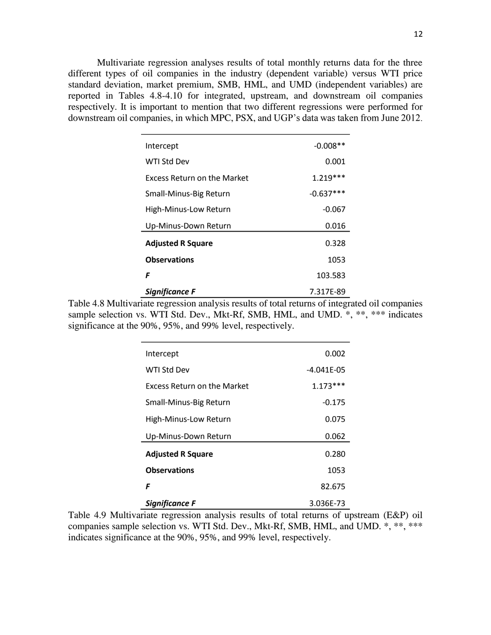Multivariate regression analyses results of total monthly returns data for the three different types of oil companies in the industry (dependent variable) versus WTI price standard deviation, market premium, SMB, HML, and UMD (independent variables) are reported in Tables 4.8-4.10 for integrated, upstream, and downstream oil companies respectively. It is important to mention that two different regressions were performed for downstream oil companies, in which MPC, PSX, and UGP's data was taken from June 2012.

| Intercept                   | $-0.008**$  |
|-----------------------------|-------------|
| WTI Std Dev                 | 0.001       |
| Excess Return on the Market | $1.219***$  |
| Small-Minus-Big Return      | $-0.637***$ |
| High-Minus-Low Return       | $-0.067$    |
| Up-Minus-Down Return        | 0.016       |
| <b>Adjusted R Square</b>    | 0.328       |
| <b>Observations</b>         | 1053        |
| F                           | 103.583     |
| Significance F              | 7.317E-89   |

Table 4.8 Multivariate regression analysis results of total returns of integrated oil companies sample selection vs. WTI Std. Dev., Mkt-Rf, SMB, HML, and UMD. \*, \*\*, \*\*\* indicates significance at the 90%, 95%, and 99% level, respectively.

| Intercept                          | 0.002           |
|------------------------------------|-----------------|
| WTI Std Dev                        | $-4.041F - 0.5$ |
| <b>Excess Return on the Market</b> | $1.173***$      |
| Small-Minus-Big Return             | $-0.175$        |
| High-Minus-Low Return              | 0.075           |
| Up-Minus-Down Return               | 0.062           |
| <b>Adjusted R Square</b>           | 0.280           |
| <b>Observations</b>                | 1053            |
| F                                  | 82.675          |
| Sianificance F                     | 3.036E-73       |

Table 4.9 Multivariate regression analysis results of total returns of upstream (E&P) oil companies sample selection vs. WTI Std. Dev., Mkt-Rf, SMB, HML, and UMD. \*, \*\*, \*\*\* indicates significance at the 90%, 95%, and 99% level, respectively.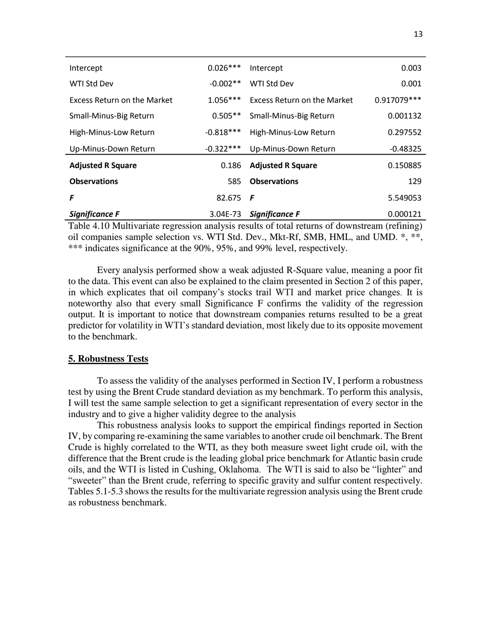| Intercept                   | $0.026***$  | Intercept                   | 0.003        |
|-----------------------------|-------------|-----------------------------|--------------|
| WTI Std Dev                 | $-0.002**$  | WTI Std Dev                 | 0.001        |
| Excess Return on the Market | $1.056***$  | Excess Return on the Market | 0.917079 *** |
| Small-Minus-Big Return      | $0.505**$   | Small-Minus-Big Return      | 0.001132     |
| High-Minus-Low Return       | $-0.818***$ | High-Minus-Low Return       | 0.297552     |
| Up-Minus-Down Return        | $-0.322***$ | Up-Minus-Down Return        | $-0.48325$   |
| <b>Adjusted R Square</b>    | 0.186       | <b>Adjusted R Square</b>    | 0.150885     |
| <b>Observations</b>         | 585         | <b>Observations</b>         | 129          |
| F                           | 82.675      | F                           | 5.549053     |
| Significance F              | 3.04E-73    | <b>Significance F</b>       | 0.000121     |

Table 4.10 Multivariate regression analysis results of total returns of downstream (refining) oil companies sample selection vs. WTI Std. Dev., Mkt-Rf, SMB, HML, and UMD. \*, \*\*, \*\*\* indicates significance at the 90%, 95%, and 99% level, respectively.

Every analysis performed show a weak adjusted R-Square value, meaning a poor fit to the data. This event can also be explained to the claim presented in Section 2 of this paper, in which explicates that oil company's stocks trail WTI and market price changes. It is noteworthy also that every small Significance F confirms the validity of the regression output. It is important to notice that downstream companies returns resulted to be a great predictor for volatility in WTI's standard deviation, most likely due to its opposite movement to the benchmark.

#### **5. Robustness Tests**

To assess the validity of the analyses performed in Section IV, I perform a robustness test by using the Brent Crude standard deviation as my benchmark. To perform this analysis, I will test the same sample selection to get a significant representation of every sector in the industry and to give a higher validity degree to the analysis

This robustness analysis looks to support the empirical findings reported in Section IV, by comparing re-examining the same variables to another crude oil benchmark. The Brent Crude is highly correlated to the WTI, as they both measure sweet light crude oil, with the difference that the Brent crude is the leading global price benchmark for Atlantic basin crude oils, and the WTI is listed in Cushing, Oklahoma. The WTI is said to also be "lighter" and "sweeter" than the Brent crude, referring to specific gravity and sulfur content respectively. Tables 5.1-5.3 shows the results for the multivariate regression analysis using the Brent crude as robustness benchmark.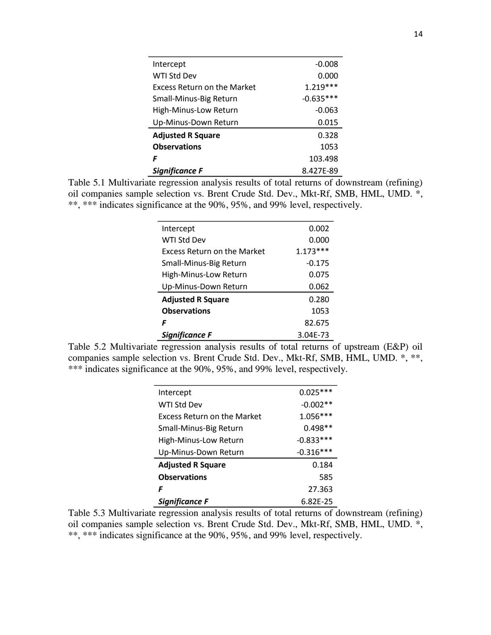| Intercept                          | $-0.008$    |
|------------------------------------|-------------|
| <b>WTI Std Dev</b>                 | 0.000       |
| <b>Excess Return on the Market</b> | $1.219***$  |
| Small-Minus-Big Return             | $-0.635***$ |
| High-Minus-Low Return              | $-0.063$    |
| Up-Minus-Down Return               | 0.015       |
| <b>Adjusted R Square</b>           | 0.328       |
| <b>Observations</b>                | 1053        |
| F                                  | 103.498     |
| <b>Significance F</b>              | 8.427F-89   |

Table 5.1 Multivariate regression analysis results of total returns of downstream (refining) oil companies sample selection vs. Brent Crude Std. Dev., Mkt-Rf, SMB, HML, UMD. \*, \*\*, \*\*\* indicates significance at the 90%, 95%, and 99% level, respectively.

| Intercept                          | 0.002      |
|------------------------------------|------------|
| WTI Std Dev                        | 0.000      |
| <b>Excess Return on the Market</b> | $1.173***$ |
| Small-Minus-Big Return             | $-0.175$   |
| High-Minus-Low Return              | 0.075      |
| Up-Minus-Down Return               | 0.062      |
| <b>Adjusted R Square</b>           | 0.280      |
| <b>Observations</b>                | 1053       |
| F                                  | 82.675     |
| Sianificance F                     | 3.04F-73   |

Table 5.2 Multivariate regression analysis results of total returns of upstream (E&P) oil companies sample selection vs. Brent Crude Std. Dev., Mkt-Rf, SMB, HML, UMD. \*, \*\*, \*\*\* indicates significance at the 90%, 95%, and 99% level, respectively.

| Intercept                          | $0.025***$  |
|------------------------------------|-------------|
| WTI Std Dev                        | $-0.002**$  |
| <b>Excess Return on the Market</b> | $1.056***$  |
| Small-Minus-Big Return             | $0.498**$   |
| High-Minus-Low Return              | $-0.833***$ |
| Up-Minus-Down Return               | $-0.316***$ |
| <b>Adjusted R Square</b>           | 0.184       |
| <b>Observations</b>                | 585         |
| F                                  | 27.363      |
| Sianificance F                     | 6.82F-25    |

Table 5.3 Multivariate regression analysis results of total returns of downstream (refining) oil companies sample selection vs. Brent Crude Std. Dev., Mkt-Rf, SMB, HML, UMD. \*, \*\*, \*\*\* indicates significance at the 90%, 95%, and 99% level, respectively.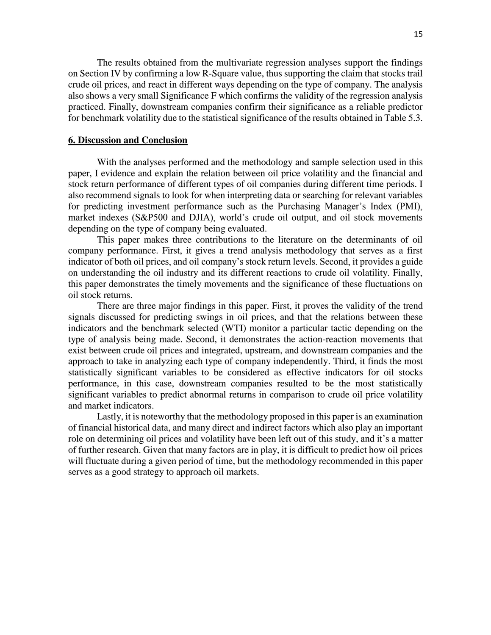The results obtained from the multivariate regression analyses support the findings on Section IV by confirming a low R-Square value, thus supporting the claim that stocks trail crude oil prices, and react in different ways depending on the type of company. The analysis also shows a very small Significance F which confirms the validity of the regression analysis practiced. Finally, downstream companies confirm their significance as a reliable predictor for benchmark volatility due to the statistical significance of the results obtained in Table 5.3.

#### **6. Discussion and Conclusion**

With the analyses performed and the methodology and sample selection used in this paper, I evidence and explain the relation between oil price volatility and the financial and stock return performance of different types of oil companies during different time periods. I also recommend signals to look for when interpreting data or searching for relevant variables for predicting investment performance such as the Purchasing Manager's Index (PMI), market indexes (S&P500 and DJIA), world's crude oil output, and oil stock movements depending on the type of company being evaluated.

This paper makes three contributions to the literature on the determinants of oil company performance. First, it gives a trend analysis methodology that serves as a first indicator of both oil prices, and oil company's stock return levels. Second, it provides a guide on understanding the oil industry and its different reactions to crude oil volatility. Finally, this paper demonstrates the timely movements and the significance of these fluctuations on oil stock returns.

There are three major findings in this paper. First, it proves the validity of the trend signals discussed for predicting swings in oil prices, and that the relations between these indicators and the benchmark selected (WTI) monitor a particular tactic depending on the type of analysis being made. Second, it demonstrates the action-reaction movements that exist between crude oil prices and integrated, upstream, and downstream companies and the approach to take in analyzing each type of company independently. Third, it finds the most statistically significant variables to be considered as effective indicators for oil stocks performance, in this case, downstream companies resulted to be the most statistically significant variables to predict abnormal returns in comparison to crude oil price volatility and market indicators.

Lastly, it is noteworthy that the methodology proposed in this paper is an examination of financial historical data, and many direct and indirect factors which also play an important role on determining oil prices and volatility have been left out of this study, and it's a matter of further research. Given that many factors are in play, it is difficult to predict how oil prices will fluctuate during a given period of time, but the methodology recommended in this paper serves as a good strategy to approach oil markets.